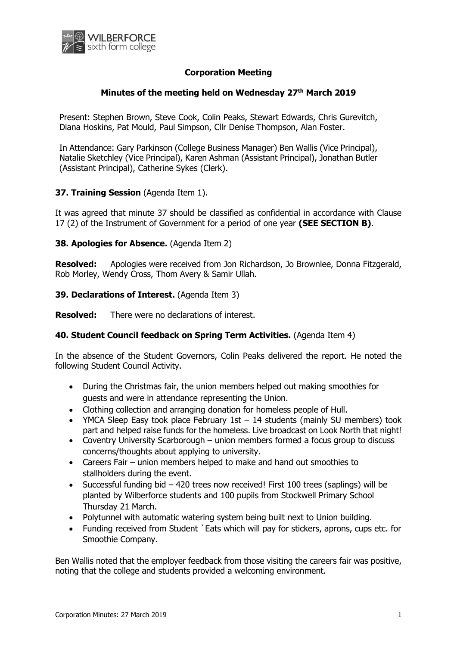

# **Corporation Meeting**

### **Minutes of the meeting held on Wednesday 27th March 2019**

Present: Stephen Brown, Steve Cook, Colin Peaks, Stewart Edwards, Chris Gurevitch, Diana Hoskins, Pat Mould, Paul Simpson, Cllr Denise Thompson, Alan Foster.

In Attendance: Gary Parkinson (College Business Manager) Ben Wallis (Vice Principal), Natalie Sketchley (Vice Principal), Karen Ashman (Assistant Principal), Jonathan Butler (Assistant Principal), Catherine Sykes (Clerk).

### **37. Training Session** (Agenda Item 1).

It was agreed that minute 37 should be classified as confidential in accordance with Clause 17 (2) of the Instrument of Government for a period of one year **(SEE SECTION B)**.

### **38. Apologies for Absence.** (Agenda Item 2)

**Resolved:** Apologies were received from Jon Richardson, Jo Brownlee, Donna Fitzgerald, Rob Morley, Wendy Cross, Thom Avery & Samir Ullah.

### **39. Declarations of Interest.** (Agenda Item 3)

**Resolved:** There were no declarations of interest.

### **40. Student Council feedback on Spring Term Activities.** (Agenda Item 4)

In the absence of the Student Governors, Colin Peaks delivered the report. He noted the following Student Council Activity.

- During the Christmas fair, the union members helped out making smoothies for guests and were in attendance representing the Union.
- Clothing collection and arranging donation for homeless people of Hull.
- YMCA Sleep Easy took place February 1st  $-14$  students (mainly SU members) took part and helped raise funds for the homeless. Live broadcast on Look North that night!
- Coventry University Scarborough union members formed a focus group to discuss concerns/thoughts about applying to university.
- Careers Fair union members helped to make and hand out smoothies to stallholders during the event.
- Successful funding bid 420 trees now received! First 100 trees (saplings) will be planted by Wilberforce students and 100 pupils from Stockwell Primary School Thursday 21 March.
- Polytunnel with automatic watering system being built next to Union building.
- Funding received from Student `Eats which will pay for stickers, aprons, cups etc. for Smoothie Company.

Ben Wallis noted that the employer feedback from those visiting the careers fair was positive, noting that the college and students provided a welcoming environment.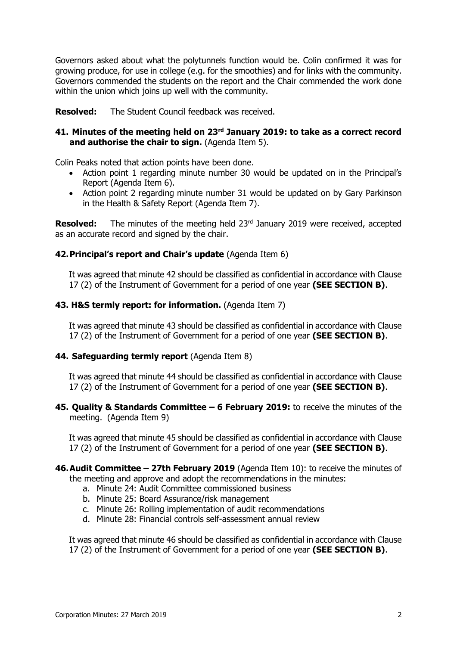Governors asked about what the polytunnels function would be. Colin confirmed it was for growing produce, for use in college (e.g. for the smoothies) and for links with the community. Governors commended the students on the report and the Chair commended the work done within the union which joins up well with the community.

**Resolved:** The Student Council feedback was received.

### **41. Minutes of the meeting held on 23rd January 2019: to take as a correct record and authorise the chair to sign.** (Agenda Item 5).

Colin Peaks noted that action points have been done.

- Action point 1 regarding minute number 30 would be updated on in the Principal's Report (Agenda Item 6).
- Action point 2 regarding minute number 31 would be updated on by Gary Parkinson in the Health & Safety Report (Agenda Item 7).

**Resolved:** The minutes of the meeting held 23<sup>rd</sup> January 2019 were received, accepted as an accurate record and signed by the chair.

# **42.Principal's report and Chair's update** (Agenda Item 6)

It was agreed that minute 42 should be classified as confidential in accordance with Clause 17 (2) of the Instrument of Government for a period of one year **(SEE SECTION B)**.

### **43. H&S termly report: for information.** (Agenda Item 7)

It was agreed that minute 43 should be classified as confidential in accordance with Clause 17 (2) of the Instrument of Government for a period of one year **(SEE SECTION B)**.

### **44. Safeguarding termly report** (Agenda Item 8)

It was agreed that minute 44 should be classified as confidential in accordance with Clause 17 (2) of the Instrument of Government for a period of one year **(SEE SECTION B)**.

### **45. Quality & Standards Committee – 6 February 2019:** to receive the minutes of the meeting. (Agenda Item 9)

It was agreed that minute 45 should be classified as confidential in accordance with Clause 17 (2) of the Instrument of Government for a period of one year **(SEE SECTION B)**.

**46.Audit Committee – 27th February 2019** (Agenda Item 10): to receive the minutes of the meeting and approve and adopt the recommendations in the minutes:

- a. Minute 24: Audit Committee commissioned business
- b. Minute 25: Board Assurance/risk management
- c. Minute 26: Rolling implementation of audit recommendations
- d. Minute 28: Financial controls self-assessment annual review

It was agreed that minute 46 should be classified as confidential in accordance with Clause 17 (2) of the Instrument of Government for a period of one year **(SEE SECTION B)**.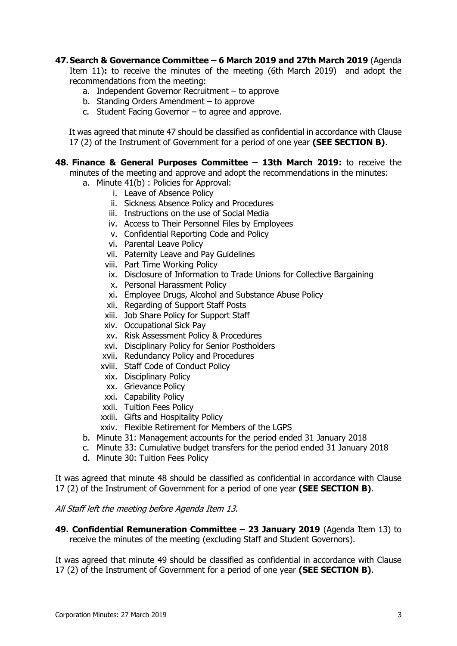## **47.Search & Governance Committee – 6 March 2019 and 27th March 2019** (Agenda

Item 11)**:** to receive the minutes of the meeting (6th March 2019) and adopt the recommendations from the meeting:

- a. Independent Governor Recruitment to approve
- b. Standing Orders Amendment to approve
- c. Student Facing Governor to agree and approve.

It was agreed that minute 47 should be classified as confidential in accordance with Clause 17 (2) of the Instrument of Government for a period of one year **(SEE SECTION B)**.

**48. Finance & General Purposes Committee – 13th March 2019:** to receive the

minutes of the meeting and approve and adopt the recommendations in the minutes:

- a. Minute 41(b) : Policies for Approval:
	- i. Leave of Absence Policy
	- ii. Sickness Absence Policy and Procedures
	- iii. Instructions on the use of Social Media
	- iv. Access to Their Personnel Files by Employees
	- v. Confidential Reporting Code and Policy
	- vi. Parental Leave Policy
	- vii. Paternity Leave and Pay Guidelines
	- viii. Part Time Working Policy
	- ix. Disclosure of Information to Trade Unions for Collective Bargaining
	- x. Personal Harassment Policy
	- xi. Employee Drugs, Alcohol and Substance Abuse Policy
	- xii. Regarding of Support Staff Posts
	- xiii. Job Share Policy for Support Staff
	- xiv. Occupational Sick Pay
	- xv. Risk Assessment Policy & Procedures
	- xvi. Disciplinary Policy for Senior Postholders
	- xvii. Redundancy Policy and Procedures
	- xviii. Staff Code of Conduct Policy
	- xix. Disciplinary Policy
	- xx. Grievance Policy
	- xxi. Capability Policy
	- xxii. Tuition Fees Policy
	- xxiii. Gifts and Hospitality Policy
	- xxiv. Flexible Retirement for Members of the LGPS
- b. Minute 31: Management accounts for the period ended 31 January 2018
- c. Minute 33: Cumulative budget transfers for the period ended 31 January 2018
- d. Minute 30: Tuition Fees Policy

It was agreed that minute 48 should be classified as confidential in accordance with Clause 17 (2) of the Instrument of Government for a period of one year **(SEE SECTION B)**.

### All Staff left the meeting before Agenda Item 13.

**49. Confidential Remuneration Committee – 23 January 2019** (Agenda Item 13) to receive the minutes of the meeting (excluding Staff and Student Governors).

It was agreed that minute 49 should be classified as confidential in accordance with Clause 17 (2) of the Instrument of Government for a period of one year **(SEE SECTION B)**.